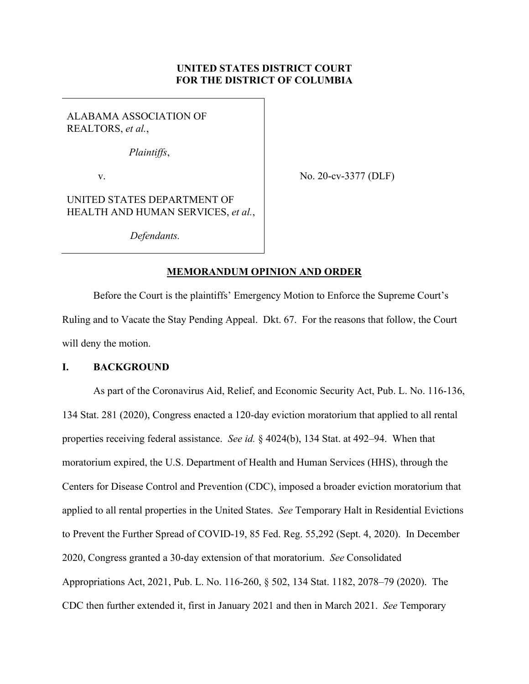# **UNITED STATES DISTRICT COURT FOR THE DISTRICT OF COLUMBIA**

ALABAMA ASSOCIATION OF REALTORS, *et al.*,

*Plaintiffs*,

v.

No. 20-cv-3377 (DLF)

UNITED STATES DEPARTMENT OF HEALTH AND HUMAN SERVICES, *et al.*,

*Defendants.* 

## **MEMORANDUM OPINION AND ORDER**

 Before the Court is the plaintiffs' Emergency Motion to Enforce the Supreme Court's Ruling and to Vacate the Stay Pending Appeal. Dkt. 67. For the reasons that follow, the Court will deny the motion.

## **I. BACKGROUND**

As part of the Coronavirus Aid, Relief, and Economic Security Act, Pub. L. No. 116-136, 134 Stat. 281 (2020), Congress enacted a 120-day eviction moratorium that applied to all rental properties receiving federal assistance. *See id.* § 4024(b), 134 Stat. at 492–94. When that moratorium expired, the U.S. Department of Health and Human Services (HHS), through the Centers for Disease Control and Prevention (CDC), imposed a broader eviction moratorium that applied to all rental properties in the United States. *See* Temporary Halt in Residential Evictions to Prevent the Further Spread of COVID-19, 85 Fed. Reg. 55,292 (Sept. 4, 2020). In December 2020, Congress granted a 30-day extension of that moratorium. *See* Consolidated Appropriations Act, 2021, Pub. L. No. 116-260, § 502, 134 Stat. 1182, 2078–79 (2020). The CDC then further extended it, first in January 2021 and then in March 2021. *See* Temporary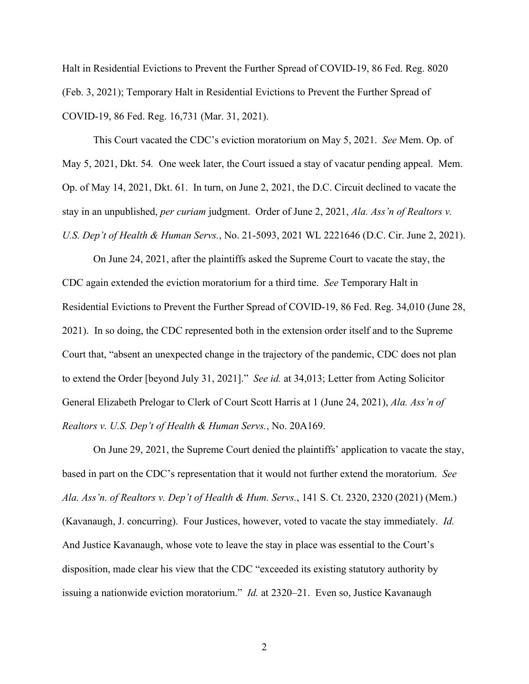Halt in Residential Evictions to Prevent the Further Spread of COVID-19, 86 Fed. Reg. 8020 (Feb. 3, 2021); Temporary Halt in Residential Evictions to Prevent the Further Spread of COVID-19, 86 Fed. Reg. 16,731 (Mar. 31, 2021).

This Court vacated the CDC's eviction moratorium on May 5, 2021. *See* Mem. Op. of May 5, 2021, Dkt. 54*.* One week later, the Court issued a stay of vacatur pending appeal. Mem. Op. of May 14, 2021, Dkt. 61. In turn, on June 2, 2021, the D.C. Circuit declined to vacate the stay in an unpublished, *per curiam* judgment. Order of June 2, 2021, *Ala. Ass'n of Realtors v. U.S. Dep't of Health & Human Servs.*, No. 21-5093, 2021 WL 2221646 (D.C. Cir. June 2, 2021).

On June 24, 2021, after the plaintiffs asked the Supreme Court to vacate the stay, the CDC again extended the eviction moratorium for a third time. *See* Temporary Halt in Residential Evictions to Prevent the Further Spread of COVID-19, 86 Fed. Reg. 34,010 (June 28, 2021). In so doing, the CDC represented both in the extension order itself and to the Supreme Court that, "absent an unexpected change in the trajectory of the pandemic, CDC does not plan to extend the Order [beyond July 31, 2021]." *See id.* at 34,013; Letter from Acting Solicitor General Elizabeth Prelogar to Clerk of Court Scott Harris at 1 (June 24, 2021), *Ala. Ass'n of Realtors v. U.S. Dep't of Health & Human Servs.*, No. 20A169.

On June 29, 2021, the Supreme Court denied the plaintiffs' application to vacate the stay, based in part on the CDC's representation that it would not further extend the moratorium. *See Ala. Ass'n. of Realtors v. Dep't of Health & Hum. Servs.*, 141 S. Ct. 2320, 2320 (2021) (Mem.) (Kavanaugh, J. concurring). Four Justices, however, voted to vacate the stay immediately. *Id.* And Justice Kavanaugh, whose vote to leave the stay in place was essential to the Court's disposition, made clear his view that the CDC "exceeded its existing statutory authority by issuing a nationwide eviction moratorium." *Id.* at 2320–21. Even so, Justice Kavanaugh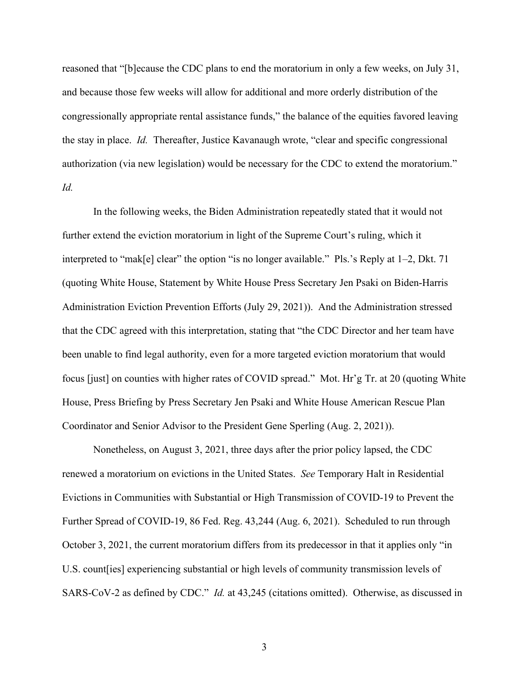reasoned that "[b]ecause the CDC plans to end the moratorium in only a few weeks, on July 31, and because those few weeks will allow for additional and more orderly distribution of the congressionally appropriate rental assistance funds," the balance of the equities favored leaving the stay in place. *Id.* Thereafter, Justice Kavanaugh wrote, "clear and specific congressional authorization (via new legislation) would be necessary for the CDC to extend the moratorium." *Id.*

In the following weeks, the Biden Administration repeatedly stated that it would not further extend the eviction moratorium in light of the Supreme Court's ruling, which it interpreted to "mak[e] clear" the option "is no longer available." Pls.'s Reply at 1–2, Dkt. 71 (quoting White House, Statement by White House Press Secretary Jen Psaki on Biden-Harris Administration Eviction Prevention Efforts (July 29, 2021)). And the Administration stressed that the CDC agreed with this interpretation, stating that "the CDC Director and her team have been unable to find legal authority, even for a more targeted eviction moratorium that would focus [just] on counties with higher rates of COVID spread." Mot. Hr'g Tr. at 20 (quoting White House, Press Briefing by Press Secretary Jen Psaki and White House American Rescue Plan Coordinator and Senior Advisor to the President Gene Sperling (Aug. 2, 2021)).

Nonetheless, on August 3, 2021, three days after the prior policy lapsed, the CDC renewed a moratorium on evictions in the United States. *See* Temporary Halt in Residential Evictions in Communities with Substantial or High Transmission of COVID-19 to Prevent the Further Spread of COVID-19, 86 Fed. Reg. 43,244 (Aug. 6, 2021). Scheduled to run through October 3, 2021, the current moratorium differs from its predecessor in that it applies only "in U.S. count[ies] experiencing substantial or high levels of community transmission levels of SARS-CoV-2 as defined by CDC." *Id.* at 43,245 (citations omitted). Otherwise, as discussed in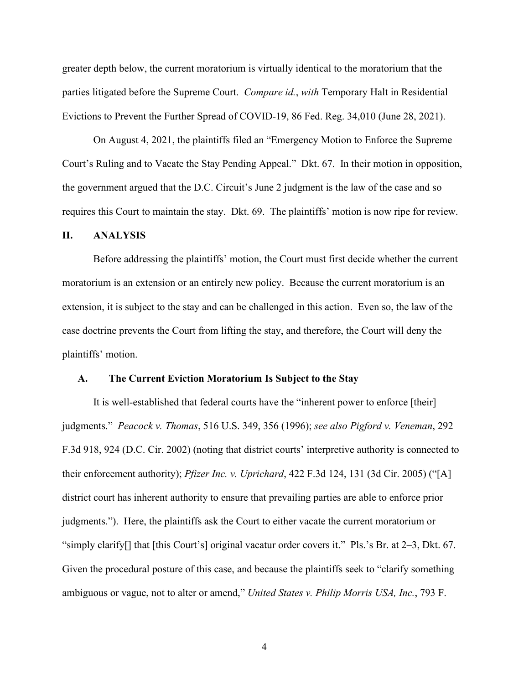greater depth below, the current moratorium is virtually identical to the moratorium that the parties litigated before the Supreme Court. *Compare id.*, *with* Temporary Halt in Residential Evictions to Prevent the Further Spread of COVID-19, 86 Fed. Reg. 34,010 (June 28, 2021).

On August 4, 2021, the plaintiffs filed an "Emergency Motion to Enforce the Supreme Court's Ruling and to Vacate the Stay Pending Appeal." Dkt. 67. In their motion in opposition, the government argued that the D.C. Circuit's June 2 judgment is the law of the case and so requires this Court to maintain the stay. Dkt. 69. The plaintiffs' motion is now ripe for review.

### **II. ANALYSIS**

Before addressing the plaintiffs' motion, the Court must first decide whether the current moratorium is an extension or an entirely new policy. Because the current moratorium is an extension, it is subject to the stay and can be challenged in this action. Even so, the law of the case doctrine prevents the Court from lifting the stay, and therefore, the Court will deny the plaintiffs' motion.

#### **A. The Current Eviction Moratorium Is Subject to the Stay**

It is well-established that federal courts have the "inherent power to enforce [their] judgments." *Peacock v. Thomas*, 516 U.S. 349, 356 (1996); *see also Pigford v. Veneman*, 292 F.3d 918, 924 (D.C. Cir. 2002) (noting that district courts' interpretive authority is connected to their enforcement authority); *Pfizer Inc. v. Uprichard*, 422 F.3d 124, 131 (3d Cir. 2005) ("[A] district court has inherent authority to ensure that prevailing parties are able to enforce prior judgments."). Here, the plaintiffs ask the Court to either vacate the current moratorium or "simply clarify[] that [this Court's] original vacatur order covers it." Pls.'s Br. at 2–3, Dkt. 67. Given the procedural posture of this case, and because the plaintiffs seek to "clarify something ambiguous or vague, not to alter or amend," *United States v. Philip Morris USA, Inc.*, 793 F.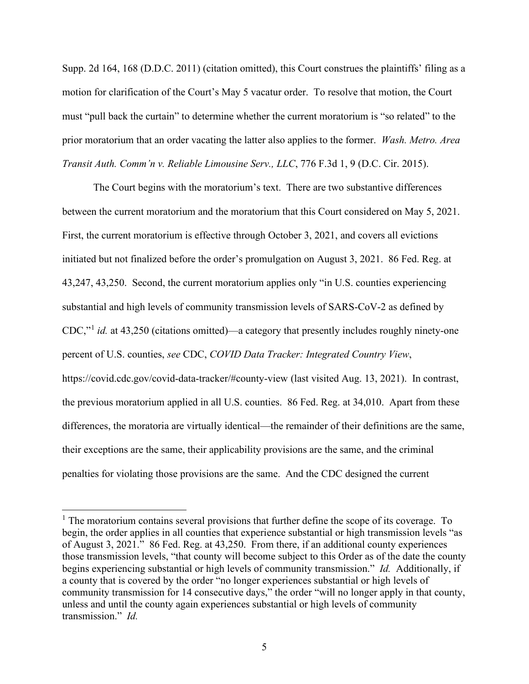Supp. 2d 164, 168 (D.D.C. 2011) (citation omitted), this Court construes the plaintiffs' filing as a motion for clarification of the Court's May 5 vacatur order. To resolve that motion, the Court must "pull back the curtain" to determine whether the current moratorium is "so related" to the prior moratorium that an order vacating the latter also applies to the former. *Wash. Metro. Area Transit Auth. Comm'n v. Reliable Limousine Serv., LLC*, 776 F.3d 1, 9 (D.C. Cir. 2015).

The Court begins with the moratorium's text. There are two substantive differences between the current moratorium and the moratorium that this Court considered on May 5, 2021. First, the current moratorium is effective through October 3, 2021, and covers all evictions initiated but not finalized before the order's promulgation on August 3, 2021. 86 Fed. Reg. at 43,247, 43,250. Second, the current moratorium applies only "in U.S. counties experiencing substantial and high levels of community transmission levels of SARS-CoV-2 as defined by CDC,"<sup>1</sup> *id.* at 43,250 (citations omitted)—a category that presently includes roughly ninety-one percent of U.S. counties, *see* CDC, *COVID Data Tracker: Integrated Country View*, https://covid.cdc.gov/covid-data-tracker/#county-view (last visited Aug. 13, 2021). In contrast, the previous moratorium applied in all U.S. counties. 86 Fed. Reg. at 34,010. Apart from these differences, the moratoria are virtually identical—the remainder of their definitions are the same, their exceptions are the same, their applicability provisions are the same, and the criminal penalties for violating those provisions are the same. And the CDC designed the current

 $<sup>1</sup>$  The moratorium contains several provisions that further define the scope of its coverage. To</sup> begin, the order applies in all counties that experience substantial or high transmission levels "as of August 3, 2021." 86 Fed. Reg. at 43,250. From there, if an additional county experiences those transmission levels, "that county will become subject to this Order as of the date the county begins experiencing substantial or high levels of community transmission." *Id.* Additionally, if a county that is covered by the order "no longer experiences substantial or high levels of community transmission for 14 consecutive days," the order "will no longer apply in that county, unless and until the county again experiences substantial or high levels of community transmission." *Id.*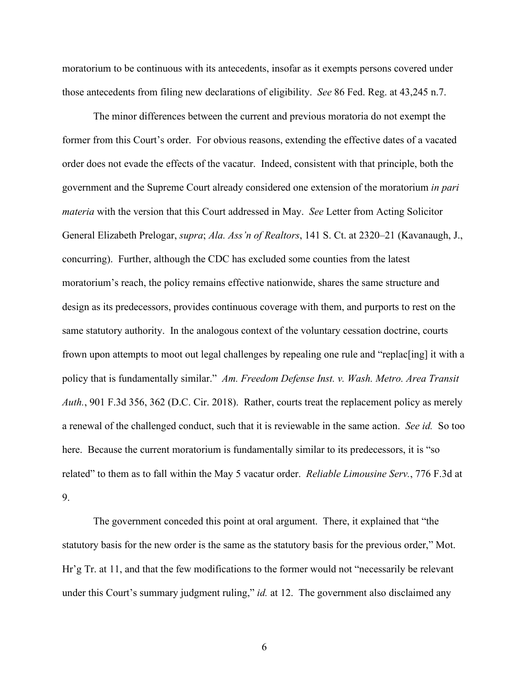moratorium to be continuous with its antecedents, insofar as it exempts persons covered under those antecedents from filing new declarations of eligibility. *See* 86 Fed. Reg. at 43,245 n.7.

The minor differences between the current and previous moratoria do not exempt the former from this Court's order. For obvious reasons, extending the effective dates of a vacated order does not evade the effects of the vacatur. Indeed, consistent with that principle, both the government and the Supreme Court already considered one extension of the moratorium *in pari materia* with the version that this Court addressed in May. *See* Letter from Acting Solicitor General Elizabeth Prelogar, *supra*; *Ala. Ass'n of Realtors*, 141 S. Ct. at 2320–21 (Kavanaugh, J., concurring). Further, although the CDC has excluded some counties from the latest moratorium's reach, the policy remains effective nationwide, shares the same structure and design as its predecessors, provides continuous coverage with them, and purports to rest on the same statutory authority. In the analogous context of the voluntary cessation doctrine, courts frown upon attempts to moot out legal challenges by repealing one rule and "replac[ing] it with a policy that is fundamentally similar." *Am. Freedom Defense Inst. v. Wash. Metro. Area Transit Auth.*, 901 F.3d 356, 362 (D.C. Cir. 2018). Rather, courts treat the replacement policy as merely a renewal of the challenged conduct, such that it is reviewable in the same action. *See id.* So too here. Because the current moratorium is fundamentally similar to its predecessors, it is "so related" to them as to fall within the May 5 vacatur order. *Reliable Limousine Serv.*, 776 F.3d at 9.

The government conceded this point at oral argument. There, it explained that "the statutory basis for the new order is the same as the statutory basis for the previous order," Mot. Hr'g Tr. at 11, and that the few modifications to the former would not "necessarily be relevant under this Court's summary judgment ruling," *id.* at 12. The government also disclaimed any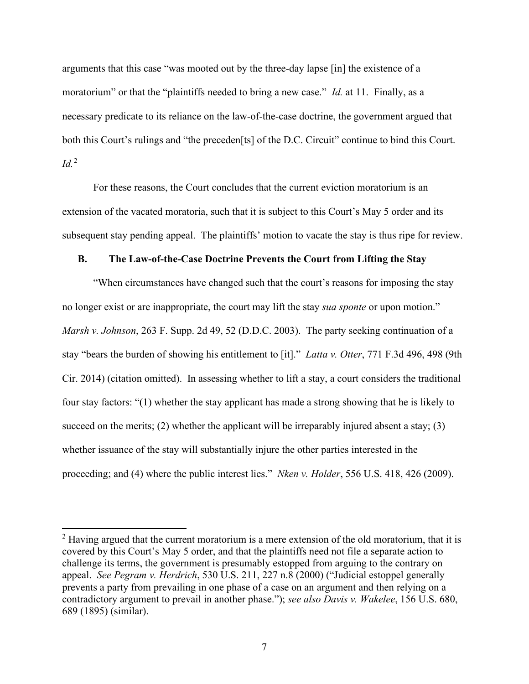arguments that this case "was mooted out by the three-day lapse [in] the existence of a moratorium" or that the "plaintiffs needed to bring a new case." *Id.* at 11. Finally, as a necessary predicate to its reliance on the law-of-the-case doctrine, the government argued that both this Court's rulings and "the preceden[ts] of the D.C. Circuit" continue to bind this Court. *Id.*<sup>2</sup>

For these reasons, the Court concludes that the current eviction moratorium is an extension of the vacated moratoria, such that it is subject to this Court's May 5 order and its subsequent stay pending appeal. The plaintiffs' motion to vacate the stay is thus ripe for review.

## **B. The Law-of-the-Case Doctrine Prevents the Court from Lifting the Stay**

"When circumstances have changed such that the court's reasons for imposing the stay no longer exist or are inappropriate, the court may lift the stay *sua sponte* or upon motion." *Marsh v. Johnson*, 263 F. Supp. 2d 49, 52 (D.D.C. 2003). The party seeking continuation of a stay "bears the burden of showing his entitlement to [it]." *Latta v. Otter*, 771 F.3d 496, 498 (9th Cir. 2014) (citation omitted). In assessing whether to lift a stay, a court considers the traditional four stay factors: "(1) whether the stay applicant has made a strong showing that he is likely to succeed on the merits; (2) whether the applicant will be irreparably injured absent a stay; (3) whether issuance of the stay will substantially injure the other parties interested in the proceeding; and (4) where the public interest lies." *Nken v. Holder*, 556 U.S. 418, 426 (2009).

 $2$  Having argued that the current moratorium is a mere extension of the old moratorium, that it is covered by this Court's May 5 order, and that the plaintiffs need not file a separate action to challenge its terms, the government is presumably estopped from arguing to the contrary on appeal. *See Pegram v. Herdrich*, 530 U.S. 211, 227 n.8 (2000) ("Judicial estoppel generally prevents a party from prevailing in one phase of a case on an argument and then relying on a contradictory argument to prevail in another phase."); *see also Davis v. Wakelee*, 156 U.S. 680, 689 (1895) (similar).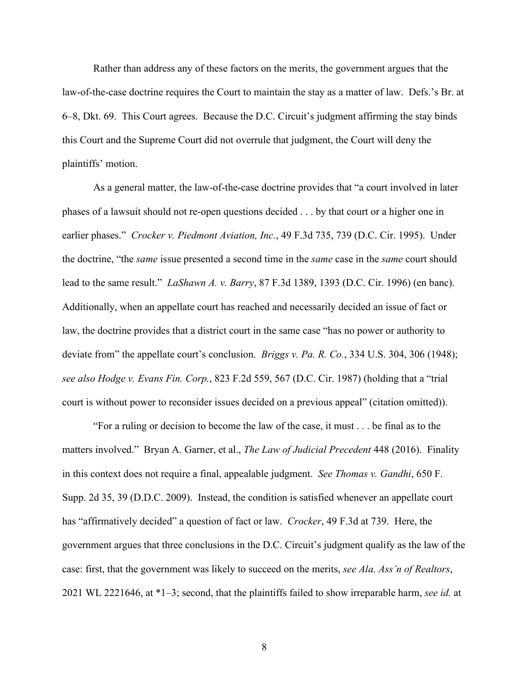Rather than address any of these factors on the merits, the government argues that the law-of-the-case doctrine requires the Court to maintain the stay as a matter of law. Defs.'s Br. at 6–8, Dkt. 69. This Court agrees. Because the D.C. Circuit's judgment affirming the stay binds this Court and the Supreme Court did not overrule that judgment, the Court will deny the plaintiffs' motion.

As a general matter, the law-of-the-case doctrine provides that "a court involved in later phases of a lawsuit should not re-open questions decided . . . by that court or a higher one in earlier phases." *Crocker v. Piedmont Aviation, Inc.*, 49 F.3d 735, 739 (D.C. Cir. 1995). Under the doctrine, "the *same* issue presented a second time in the *same* case in the *same* court should lead to the same result." *LaShawn A. v. Barry*, 87 F.3d 1389, 1393 (D.C. Cir. 1996) (en banc). Additionally, when an appellate court has reached and necessarily decided an issue of fact or law, the doctrine provides that a district court in the same case "has no power or authority to deviate from" the appellate court's conclusion. *Briggs v. Pa. R. Co.*, 334 U.S. 304, 306 (1948); *see also Hodge v. Evans Fin. Corp.*, 823 F.2d 559, 567 (D.C. Cir. 1987) (holding that a "trial court is without power to reconsider issues decided on a previous appeal" (citation omitted)).

"For a ruling or decision to become the law of the case, it must . . . be final as to the matters involved." Bryan A. Garner, et al., *The Law of Judicial Precedent* 448 (2016). Finality in this context does not require a final, appealable judgment. *See Thomas v. Gandhi*, 650 F. Supp. 2d 35, 39 (D.D.C. 2009). Instead, the condition is satisfied whenever an appellate court has "affirmatively decided" a question of fact or law. *Crocker*, 49 F.3d at 739. Here, the government argues that three conclusions in the D.C. Circuit's judgment qualify as the law of the case: first, that the government was likely to succeed on the merits, *see Ala. Ass'n of Realtors*, 2021 WL 2221646, at \*1–3; second, that the plaintiffs failed to show irreparable harm, *see id.* at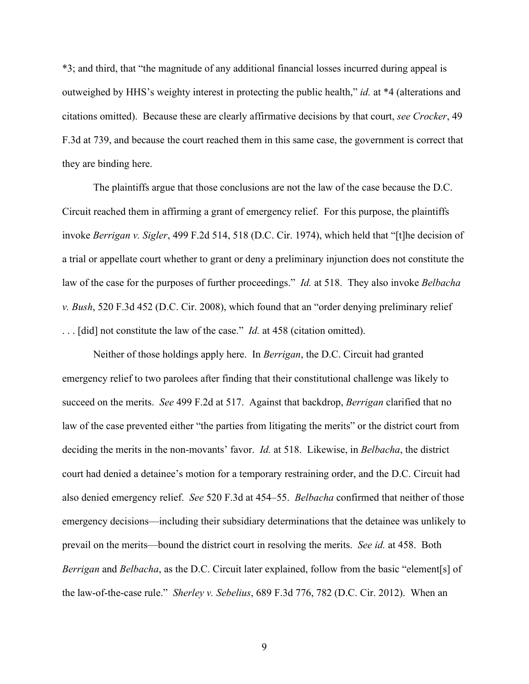\*3; and third, that "the magnitude of any additional financial losses incurred during appeal is outweighed by HHS's weighty interest in protecting the public health," *id.* at \*4 (alterations and citations omitted). Because these are clearly affirmative decisions by that court, *see Crocker*, 49 F.3d at 739, and because the court reached them in this same case, the government is correct that they are binding here.

The plaintiffs argue that those conclusions are not the law of the case because the D.C. Circuit reached them in affirming a grant of emergency relief. For this purpose, the plaintiffs invoke *Berrigan v. Sigler*, 499 F.2d 514, 518 (D.C. Cir. 1974), which held that "[t]he decision of a trial or appellate court whether to grant or deny a preliminary injunction does not constitute the law of the case for the purposes of further proceedings." *Id.* at 518. They also invoke *Belbacha v. Bush*, 520 F.3d 452 (D.C. Cir. 2008), which found that an "order denying preliminary relief . . . [did] not constitute the law of the case." *Id.* at 458 (citation omitted).

Neither of those holdings apply here. In *Berrigan*, the D.C. Circuit had granted emergency relief to two parolees after finding that their constitutional challenge was likely to succeed on the merits. *See* 499 F.2d at 517. Against that backdrop, *Berrigan* clarified that no law of the case prevented either "the parties from litigating the merits" or the district court from deciding the merits in the non-movants' favor. *Id.* at 518. Likewise, in *Belbacha*, the district court had denied a detainee's motion for a temporary restraining order, and the D.C. Circuit had also denied emergency relief. *See* 520 F.3d at 454–55. *Belbacha* confirmed that neither of those emergency decisions—including their subsidiary determinations that the detainee was unlikely to prevail on the merits—bound the district court in resolving the merits. *See id.* at 458. Both *Berrigan* and *Belbacha*, as the D.C. Circuit later explained, follow from the basic "element[s] of the law-of-the-case rule." *Sherley v. Sebelius*, 689 F.3d 776, 782 (D.C. Cir. 2012). When an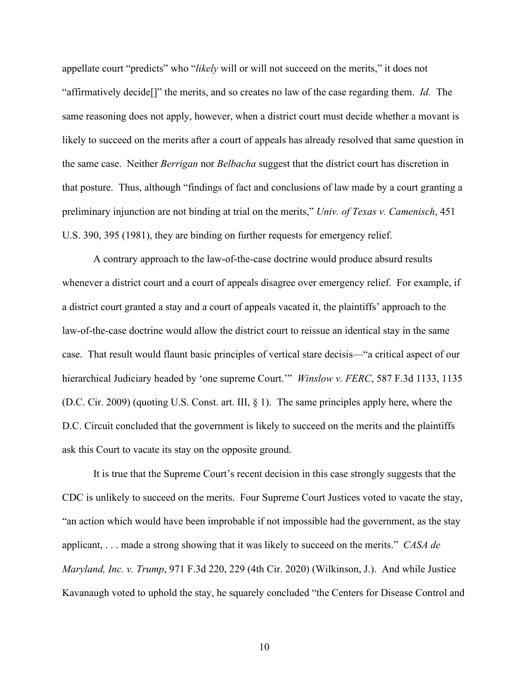appellate court "predicts" who "*likely* will or will not succeed on the merits," it does not "affirmatively decide[]" the merits, and so creates no law of the case regarding them. *Id.* The same reasoning does not apply, however, when a district court must decide whether a movant is likely to succeed on the merits after a court of appeals has already resolved that same question in the same case. Neither *Berrigan* nor *Belbacha* suggest that the district court has discretion in that posture. Thus, although "findings of fact and conclusions of law made by a court granting a preliminary injunction are not binding at trial on the merits," *Univ. of Texas v. Camenisch*, 451 U.S. 390, 395 (1981), they are binding on further requests for emergency relief.

A contrary approach to the law-of-the-case doctrine would produce absurd results whenever a district court and a court of appeals disagree over emergency relief. For example, if a district court granted a stay and a court of appeals vacated it, the plaintiffs' approach to the law-of-the-case doctrine would allow the district court to reissue an identical stay in the same case. That result would flaunt basic principles of vertical stare decisis—"a critical aspect of our hierarchical Judiciary headed by 'one supreme Court.'" *Winslow v. FERC*, 587 F.3d 1133, 1135 (D.C. Cir. 2009) (quoting U.S. Const. art. III, § 1). The same principles apply here, where the D.C. Circuit concluded that the government is likely to succeed on the merits and the plaintiffs ask this Court to vacate its stay on the opposite ground.

It is true that the Supreme Court's recent decision in this case strongly suggests that the CDC is unlikely to succeed on the merits. Four Supreme Court Justices voted to vacate the stay, "an action which would have been improbable if not impossible had the government, as the stay applicant, . . . made a strong showing that it was likely to succeed on the merits." *CASA de Maryland, Inc. v. Trump*, 971 F.3d 220, 229 (4th Cir. 2020) (Wilkinson, J.). And while Justice Kavanaugh voted to uphold the stay, he squarely concluded "the Centers for Disease Control and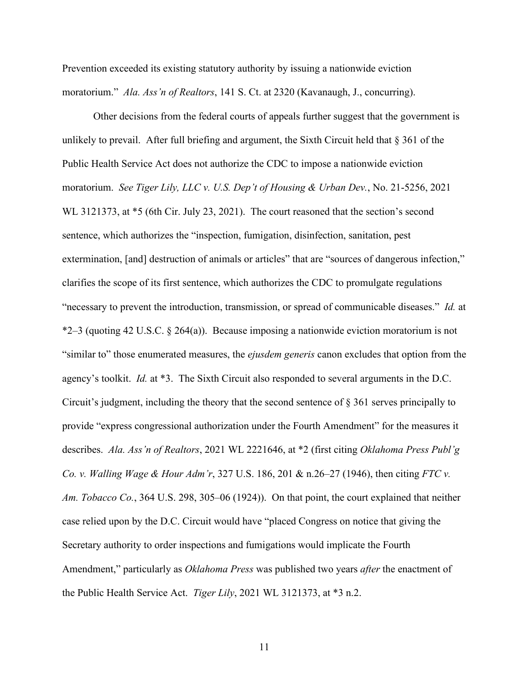Prevention exceeded its existing statutory authority by issuing a nationwide eviction moratorium." *Ala. Ass'n of Realtors*, 141 S. Ct. at 2320 (Kavanaugh, J., concurring).

Other decisions from the federal courts of appeals further suggest that the government is unlikely to prevail. After full briefing and argument, the Sixth Circuit held that § 361 of the Public Health Service Act does not authorize the CDC to impose a nationwide eviction moratorium. *See Tiger Lily, LLC v. U.S. Dep't of Housing & Urban Dev.*, No. 21-5256, 2021 WL 3121373, at \*5 (6th Cir. July 23, 2021). The court reasoned that the section's second sentence, which authorizes the "inspection, fumigation, disinfection, sanitation, pest extermination, [and] destruction of animals or articles" that are "sources of dangerous infection," clarifies the scope of its first sentence, which authorizes the CDC to promulgate regulations "necessary to prevent the introduction, transmission, or spread of communicable diseases." *Id.* at \*2–3 (quoting 42 U.S.C. § 264(a)). Because imposing a nationwide eviction moratorium is not "similar to" those enumerated measures, the *ejusdem generis* canon excludes that option from the agency's toolkit. *Id.* at \*3. The Sixth Circuit also responded to several arguments in the D.C. Circuit's judgment, including the theory that the second sentence of § 361 serves principally to provide "express congressional authorization under the Fourth Amendment" for the measures it describes. *Ala. Ass'n of Realtors*, 2021 WL 2221646, at \*2 (first citing *Oklahoma Press Publ'g Co. v. Walling Wage & Hour Adm'r*, 327 U.S. 186, 201 & n.26–27 (1946), then citing *FTC v. Am. Tobacco Co.*, 364 U.S. 298, 305–06 (1924)). On that point, the court explained that neither case relied upon by the D.C. Circuit would have "placed Congress on notice that giving the Secretary authority to order inspections and fumigations would implicate the Fourth Amendment," particularly as *Oklahoma Press* was published two years *after* the enactment of the Public Health Service Act. *Tiger Lily*, 2021 WL 3121373, at \*3 n.2.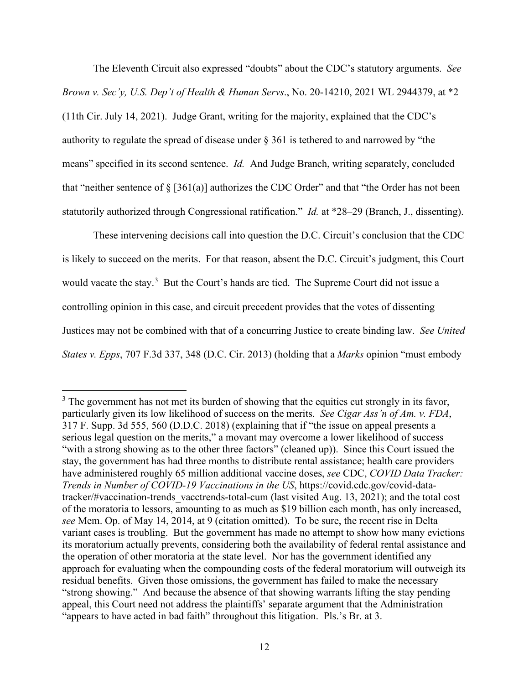The Eleventh Circuit also expressed "doubts" about the CDC's statutory arguments. *See Brown v. Sec'y, U.S. Dep't of Health & Human Servs*., No. 20-14210, 2021 WL 2944379, at \*2 (11th Cir. July 14, 2021). Judge Grant, writing for the majority, explained that the CDC's authority to regulate the spread of disease under § 361 is tethered to and narrowed by "the means" specified in its second sentence. *Id.* And Judge Branch, writing separately, concluded that "neither sentence of  $\S$  [361(a)] authorizes the CDC Order" and that "the Order has not been statutorily authorized through Congressional ratification." *Id.* at \*28–29 (Branch, J., dissenting).

These intervening decisions call into question the D.C. Circuit's conclusion that the CDC is likely to succeed on the merits. For that reason, absent the D.C. Circuit's judgment, this Court would vacate the stay.<sup>3</sup> But the Court's hands are tied. The Supreme Court did not issue a controlling opinion in this case, and circuit precedent provides that the votes of dissenting Justices may not be combined with that of a concurring Justice to create binding law. *See United States v. Epps*, 707 F.3d 337, 348 (D.C. Cir. 2013) (holding that a *Marks* opinion "must embody

 $3$  The government has not met its burden of showing that the equities cut strongly in its favor, particularly given its low likelihood of success on the merits. *See Cigar Ass'n of Am. v. FDA*, 317 F. Supp. 3d 555, 560 (D.D.C. 2018) (explaining that if "the issue on appeal presents a serious legal question on the merits," a movant may overcome a lower likelihood of success "with a strong showing as to the other three factors" (cleaned up)). Since this Court issued the stay, the government has had three months to distribute rental assistance; health care providers have administered roughly 65 million additional vaccine doses, *see* CDC, *COVID Data Tracker: Trends in Number of COVID-19 Vaccinations in the US*, https://covid.cdc.gov/covid-datatracker/#vaccination-trends vacctrends-total-cum (last visited Aug. 13, 2021); and the total cost of the moratoria to lessors, amounting to as much as \$19 billion each month, has only increased, *see* Mem. Op. of May 14, 2014, at 9 (citation omitted). To be sure, the recent rise in Delta variant cases is troubling. But the government has made no attempt to show how many evictions its moratorium actually prevents, considering both the availability of federal rental assistance and the operation of other moratoria at the state level. Nor has the government identified any approach for evaluating when the compounding costs of the federal moratorium will outweigh its residual benefits. Given those omissions, the government has failed to make the necessary "strong showing." And because the absence of that showing warrants lifting the stay pending appeal, this Court need not address the plaintiffs' separate argument that the Administration "appears to have acted in bad faith" throughout this litigation. Pls.'s Br. at 3.